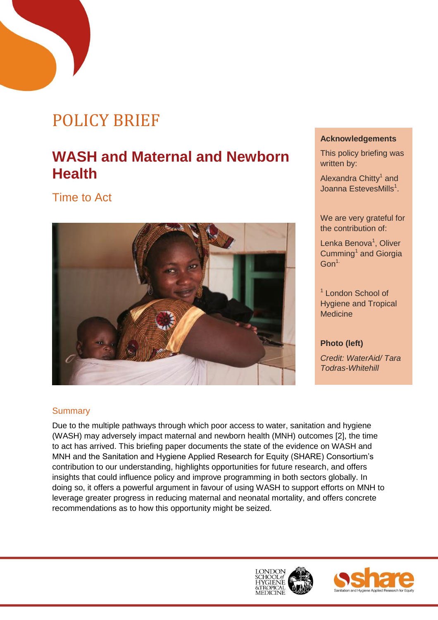# POLICY BRIEF

## **WASH and Maternal and Newborn Health**

Time to Act



#### **Acknowledgements**

This policy briefing was written by:

Alexandra Chitty<sup>1</sup> and Joanna EstevesMills<sup>1</sup>.

We are very grateful for the contribution of:

Lenka Benova<sup>1</sup>, Oliver Cumming<sup>1</sup> and Giorgia  $Gon<sup>1</sup>$ 

<sup>1</sup> London School of Hygiene and Tropical **Medicine** 

#### **Photo (left)**

*Credit: WaterAid/ Tara Todras-Whitehill*

#### **Summary**

Due to the multiple pathways through which poor access to water, sanitation and hygiene (WASH) may adversely impact maternal and newborn health (MNH) outcomes [\[2\]](#page-8-0), the time to act has arrived. This briefing paper documents the state of the evidence on WASH and MNH and the Sanitation and Hygiene Applied Research for Equity (SHARE) Consortium's contribution to our understanding, highlights opportunities for future research, and offers insights that could influence policy and improve programming in both sectors globally. In doing so, it offers a powerful argument in favour of using WASH to support efforts on MNH to leverage greater progress in reducing maternal and neonatal mortality, and offers concrete recommendations as to how this opportunity might be seized.

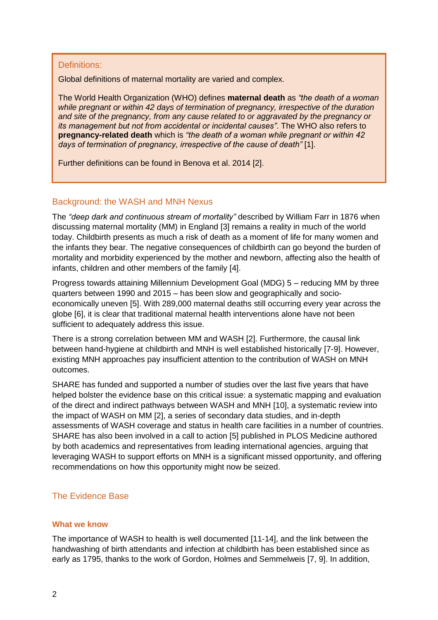#### Definitions:

Global definitions of maternal mortality are varied and complex.

The World Health Organization (WHO) defines **maternal death** as *"the death of a woman while pregnant or within 42 days of termination of pregnancy, irrespective of the duration and site of the pregnancy, from any cause related to or aggravated by the pregnancy or its management but not from accidental or incidental causes"*. The WHO also refers to **pregnancy-related death** which is *"the death of a woman while pregnant or within 42 days of termination of pregnancy, irrespective of the cause of death"* [\[1\]](#page-8-9).

Further definitions can be found in Benova et al. 2014 [2].

#### Background: the WASH and MNH Nexus

The *"deep dark and continuous stream of mortality"* described by William Farr in 1876 when discussing maternal mortality (MM) in England [\[3\]](#page-8-1) remains a reality in much of the world today. Childbirth presents as much a risk of death as a moment of life for many women and the infants they bear. The negative consequences of childbirth can go beyond the burden of mortality and morbidity experienced by the mother and newborn, affecting also the health of infants, children and other members of the family [\[4\]](#page-8-2).

Progress towards attaining Millennium Development Goal (MDG) 5 – reducing MM by three quarters between 1990 and 2015 – has been slow and geographically and socioeconomically uneven [\[5\]](#page-8-3). With 289,000 maternal deaths still occurring every year across the globe [\[6\]](#page-8-4), it is clear that traditional maternal health interventions alone have not been sufficient to adequately address this issue.

There is a strong correlation between MM and WASH [\[2\]](#page-8-0). Furthermore, the causal link between hand-hygiene at childbirth and MNH is well established historically [\[7-9\]](#page-8-5). However, existing MNH approaches pay insufficient attention to the contribution of WASH on MNH outcomes.

SHARE has funded and supported a number of studies over the last five years that have helped bolster the evidence base on this critical issue: a systematic mapping and evaluation of the direct and indirect pathways between WASH and MNH [\[10\]](#page-8-6), a systematic review into the impact of WASH on MM [\[2\]](#page-8-0), a series of secondary data studies, and in-depth assessments of WASH coverage and status in health care facilities in a number of countries. SHARE has also been involved in a call to action [\[5\]](#page-8-3) published in PLOS Medicine authored by both academics and representatives from leading international agencies, arguing that leveraging WASH to support efforts on MNH is a significant missed opportunity, and offering recommendations on how this opportunity might now be seized.

#### The Evidence Base

#### **What we know**

The importance of WASH to health is well documented [\[11-14\]](#page-8-7), and the link between the handwashing of birth attendants and infection at childbirth has been established since as early as 1795, thanks to the work of Gordon, Holmes and Semmelweis [\[7,](#page-8-5) [9\]](#page-8-8). In addition,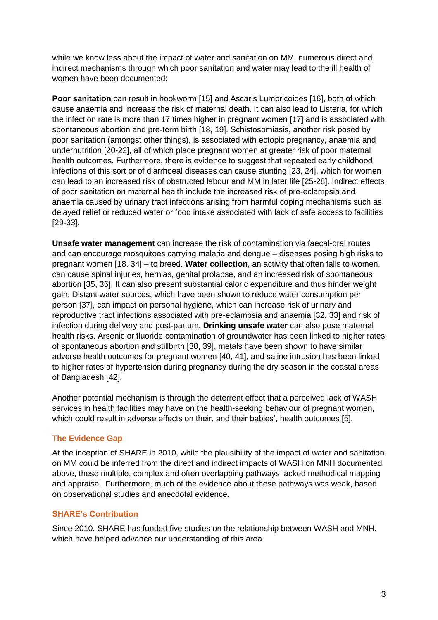while we know less about the impact of water and sanitation on MM, numerous direct and indirect mechanisms through which poor sanitation and water may lead to the ill health of women have been documented:

**Poor sanitation** can result in hookworm [\[15\]](#page-8-10) and Ascaris Lumbricoides [\[16\]](#page-8-11), both of which cause anaemia and increase the risk of maternal death. It can also lead to Listeria, for which the infection rate is more than 17 times higher in pregnant women [\[17\]](#page-8-12) and is associated with spontaneous abortion and pre-term birth [\[18,](#page-8-13) [19\]](#page-8-14). Schistosomiasis, another risk posed by poor sanitation (amongst other things), is associated with ectopic pregnancy, anaemia and undernutrition [\[20-22\]](#page-8-15), all of which place pregnant women at greater risk of poor maternal health outcomes. Furthermore, there is evidence to suggest that repeated early childhood infections of this sort or of diarrhoeal diseases can cause stunting [\[23,](#page-8-16) [24\]](#page-8-17), which for women can lead to an increased risk of obstructed labour and MM in later life [\[25-28\]](#page-9-0). Indirect effects of poor sanitation on maternal health include the increased risk of pre-eclampsia and anaemia caused by urinary tract infections arising from harmful coping mechanisms such as delayed relief or reduced water or food intake associated with lack of safe access to facilities [\[29-33\]](#page-9-1).

**Unsafe water management** can increase the risk of contamination via faecal-oral routes and can encourage mosquitoes carrying malaria and dengue – diseases posing high risks to pregnant women [\[18,](#page-8-13) [34\]](#page-9-2) – to breed. **Water collection**, an activity that often falls to women, can cause spinal injuries, hernias, genital prolapse, and an increased risk of spontaneous abortion [\[35,](#page-9-3) [36\]](#page-9-4). It can also present substantial caloric expenditure and thus hinder weight gain. Distant water sources, which have been shown to reduce water consumption per person [\[37\]](#page-9-5), can impact on personal hygiene, which can increase risk of urinary and reproductive tract infections associated with pre-eclampsia and anaemia [\[32,](#page-9-6) [33\]](#page-9-7) and risk of infection during delivery and post-partum. **Drinking unsafe water** can also pose maternal health risks. Arsenic or fluoride contamination of groundwater has been linked to higher rates of spontaneous abortion and stillbirth [\[38,](#page-9-8) [39\]](#page-9-9), metals have been shown to have similar adverse health outcomes for pregnant women [\[40,](#page-9-10) [41\]](#page-9-11), and saline intrusion has been linked to higher rates of hypertension during pregnancy during the dry season in the coastal areas of Bangladesh [\[42\]](#page-9-12).

Another potential mechanism is through the deterrent effect that a perceived lack of WASH services in health facilities may have on the health-seeking behaviour of pregnant women, which could result in adverse effects on their, and their babies', health outcomes [\[5\]](#page-8-3).

#### **The Evidence Gap**

At the inception of SHARE in 2010, while the plausibility of the impact of water and sanitation on MM could be inferred from the direct and indirect impacts of WASH on MNH documented above, these multiple, complex and often overlapping pathways lacked methodical mapping and appraisal. Furthermore, much of the evidence about these pathways was weak, based on observational studies and anecdotal evidence.

#### **SHARE's Contribution**

Since 2010, SHARE has funded five studies on the relationship between WASH and MNH, which have helped advance our understanding of this area.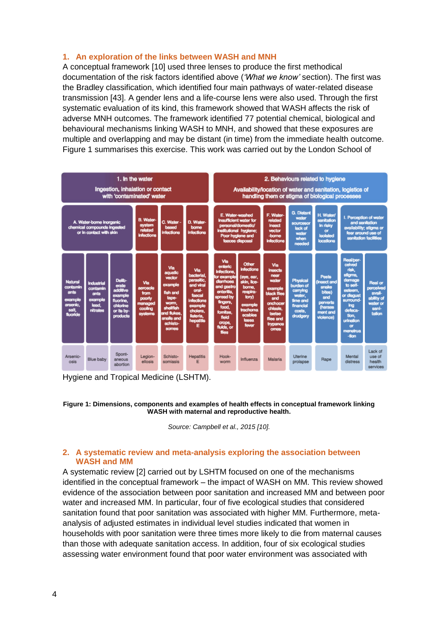#### **1. An exploration of the links between WASH and MNH**

A conceptual framework [\[10\]](#page-8-6) used three lenses to produce the first methodical documentation of the risk factors identified above (*'What we know'* section). The first was the Bradley classification, which identified four main pathways of water-related disease transmission [\[43\]](#page-9-13). A gender lens and a life-course lens were also used. Through the first systematic evaluation of its kind, this framework showed that WASH affects the risk of adverse MNH outcomes. The framework identified 77 potential chemical, biological and behavioural mechanisms linking WASH to MNH, and showed that these exposures are multiple and overlapping and may be distant (in time) from the immediate health outcome. Figure 1 summarises this exercise. This work was carried out by the London School of

| 1. In the water<br>Ingestion, inhalation or contact<br>with 'contaminated' water     |                                                                |                                                                                          |                                                                    |                                                                                                                                  |                                                                                                                                           | 2. Behaviours related to hygiene<br>Availability/location of water and sanitation, logistics of<br>handling them or stigma of biological processes                                |                                                                                                                                                   |                                                                                                                                            |                                                                                            |                                                                                                              |                                                                                                                                                                               |                                                                                    |
|--------------------------------------------------------------------------------------|----------------------------------------------------------------|------------------------------------------------------------------------------------------|--------------------------------------------------------------------|----------------------------------------------------------------------------------------------------------------------------------|-------------------------------------------------------------------------------------------------------------------------------------------|-----------------------------------------------------------------------------------------------------------------------------------------------------------------------------------|---------------------------------------------------------------------------------------------------------------------------------------------------|--------------------------------------------------------------------------------------------------------------------------------------------|--------------------------------------------------------------------------------------------|--------------------------------------------------------------------------------------------------------------|-------------------------------------------------------------------------------------------------------------------------------------------------------------------------------|------------------------------------------------------------------------------------|
| A. Water-borne inorganic<br>chemical compounds ingested<br>or in contact with skin   |                                                                |                                                                                          | <b>B. Water-</b><br>system<br>related<br><b>Infections</b>         | C. Water -<br>based<br><b>Infections</b>                                                                                         | D. Water-<br>bome<br><b>infections</b>                                                                                                    | E. Water-washed<br><b>Insufficient water for</b><br>personal/domestic/<br>institutional hygiene;<br>Poor hygiene and<br>faeces disposal                                           |                                                                                                                                                   | F. Water-<br>related<br>insect<br>vector<br><b>-borne</b><br><b>Infections</b>                                                             | <b>G. Distant</b><br>water<br><b>SOUICESOF</b><br>lack of<br>water<br>when<br>needed       | <b>H. Water/</b><br>sanitation<br>in risky<br>$\alpha$<br><b>isolated</b><br><b>locations</b>                | I. Perception of water<br>and sanitation<br>availability; stigma or<br>fear around use of<br>sanitation facilities                                                            |                                                                                    |
| <b>Natural</b><br>contamin<br>ants<br>example<br>arsenic.<br>salt<br><b>fluoride</b> | Industrial<br>contamin<br>ants<br>example<br>lead.<br>nitrates | Delb-<br>erate<br>additive<br>example<br>fluorine.<br>chlorine<br>or its by-<br>products | Via<br>aerosols<br>from<br>poorty<br>managed<br>cooling<br>systems | Via<br>aguatic<br>vector<br>example<br>fish and<br>tape-<br>worm.<br>shellfish<br>and flukes.<br>snails and<br>schisto-<br>somes | Via<br>bacterial<br>parasitic.<br>and viral<br>oral-<br><b>faecal</b><br>infections<br>example<br>cholera.<br>listeria.<br>hepatitis<br>Е | Via<br>enteric<br><b>Infections</b><br>for example<br>diamoea<br>and gastro<br>enteritis.<br>spread by<br>fingers.<br>food.<br>fornites<br>field<br>crops.<br>fluids, or<br>files | Other<br><b>Infections</b><br>(eye, ear,<br>skin, lice-<br>borne.<br>respira-<br>tory)<br>example<br>trachoma<br>scables<br><b>lassa</b><br>fever | Via<br><b>Insects</b><br>near<br>water<br>example<br>black flies<br>and<br>onchocer<br>chiasis.<br>tsetse<br>flies and<br>trypanos<br>omes | Physical<br>burden of<br>carrying<br>water,<br>time and<br>financial<br>costs.<br>drudgery | <b>Pests</b><br>(Insect and<br>snake<br>bites)<br>and<br>perverts<br><i>(harass</i><br>ment and<br>violence) | Real/per-<br>ceived<br>risk,<br>stigma.<br>damage<br>to self-<br>esteem.<br>or disgust<br>surround<br>ina.<br>defeca-<br>tion.<br>urination<br>$\alpha$<br>menstrus<br>$-600$ | <b>Real or</b><br>perceived<br>avail-<br>ability of<br>water or<br>sani-<br>tation |
| Arsenic-<br>osis                                                                     | <b>Blue baby</b>                                               | Spont-<br>aneous<br>abortion                                                             | Legion-<br>ellosis                                                 | Schisto-<br>somiasis                                                                                                             | <b>Hepatitis</b><br>E                                                                                                                     | Hook-<br>worm                                                                                                                                                                     | Influenza                                                                                                                                         | Malaria                                                                                                                                    | Uterine<br>prolapse                                                                        | Rape                                                                                                         | Mental<br>distress                                                                                                                                                            | Lack of<br>use of<br>health<br>services                                            |

Hygiene and Tropical Medicine (LSHTM).

#### **Figure 1: Dimensions, components and examples of health effects in conceptual framework linking WASH with maternal and reproductive health.**

*Source: Campbell et al., 2015 [\[10\]](#page-8-6).*

#### **2. A systematic review and meta-analysis exploring the association between WASH and MM**

A systematic review [\[2\]](#page-8-0) carried out by LSHTM focused on one of the mechanisms identified in the conceptual framework – the impact of WASH on MM. This review showed evidence of the association between poor sanitation and increased MM and between poor water and increased MM. In particular, four of five ecological studies that considered sanitation found that poor sanitation was associated with higher MM. Furthermore, metaanalysis of adjusted estimates in individual level studies indicated that women in households with poor sanitation were three times more likely to die from maternal causes than those with adequate sanitation access. In addition, four of six ecological studies assessing water environment found that poor water environment was associated with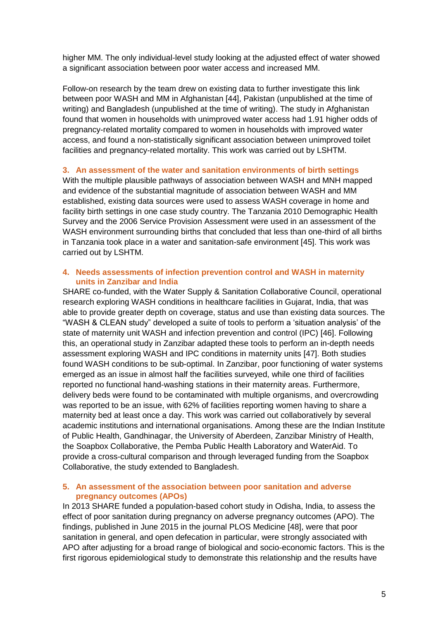higher MM. The only individual-level study looking at the adjusted effect of water showed a significant association between poor water access and increased MM.

Follow-on research by the team drew on existing data to further investigate this link between poor WASH and MM in Afghanistan [\[44\]](#page-9-14), Pakistan (unpublished at the time of writing) and Bangladesh (unpublished at the time of writing). The study in Afghanistan found that women in households with unimproved water access had 1.91 higher odds of pregnancy-related mortality compared to women in households with improved water access, and found a non-statistically significant association between unimproved toilet facilities and pregnancy-related mortality. This work was carried out by LSHTM.

#### **3. An assessment of the water and sanitation environments of birth settings**

With the multiple plausible pathways of association between WASH and MNH mapped and evidence of the substantial magnitude of association between WASH and MM established, existing data sources were used to assess WASH coverage in home and facility birth settings in one case study country. The Tanzania 2010 Demographic Health Survey and the 2006 Service Provision Assessment were used in an assessment of the WASH environment surrounding births that concluded that less than one-third of all births in Tanzania took place in a water and sanitation-safe environment [\[45\]](#page-9-15). This work was carried out by LSHTM.

#### **4. Needs assessments of infection prevention control and WASH in maternity units in Zanzibar and India**

SHARE co-funded, with the Water Supply & Sanitation Collaborative Council, operational research exploring WASH conditions in healthcare facilities in Gujarat, India, that was able to provide greater depth on coverage, status and use than existing data sources. The "WASH & CLEAN study" developed a suite of tools to perform a 'situation analysis' of the state of maternity unit WASH and infection prevention and control (IPC) [\[46\]](#page-9-16). Following this, an operational study in Zanzibar adapted these tools to perform an in-depth needs assessment exploring WASH and IPC conditions in maternity units [\[47\]](#page-9-17). Both studies found WASH conditions to be sub-optimal. In Zanzibar, poor functioning of water systems emerged as an issue in almost half the facilities surveyed, while one third of facilities reported no functional hand-washing stations in their maternity areas. Furthermore, delivery beds were found to be contaminated with multiple organisms, and overcrowding was reported to be an issue, with 62% of facilities reporting women having to share a maternity bed at least once a day. This work was carried out collaboratively by several academic institutions and international organisations. Among these are the Indian Institute of Public Health, Gandhinagar, the University of Aberdeen, Zanzibar Ministry of Health, the Soapbox Collaborative, the Pemba Public Health Laboratory and WaterAid. To provide a cross-cultural comparison and through leveraged funding from the Soapbox Collaborative, the study extended to Bangladesh.

#### **5. An assessment of the association between poor sanitation and adverse pregnancy outcomes (APOs)**

In 2013 SHARE funded a population-based cohort study in Odisha, India, to assess the effect of poor sanitation during pregnancy on adverse pregnancy outcomes (APO). The findings, published in June 2015 in the journal PLOS Medicine [\[48\]](#page-9-18), were that poor sanitation in general, and open defecation in particular, were strongly associated with APO after adjusting for a broad range of biological and socio-economic factors. This is the first rigorous epidemiological study to demonstrate this relationship and the results have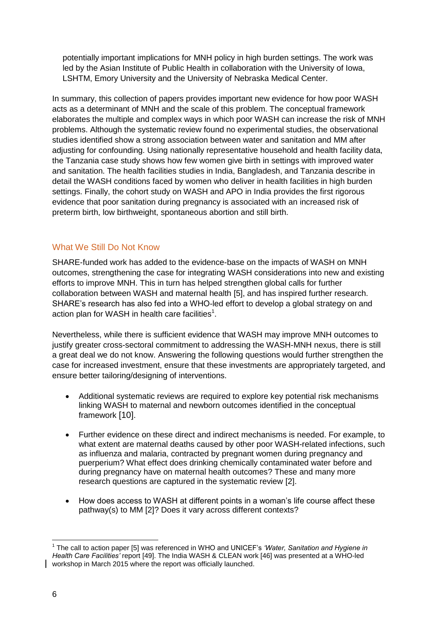potentially important implications for MNH policy in high burden settings. The work was led by the Asian Institute of Public Health in collaboration with the University of Iowa, LSHTM, Emory University and the University of Nebraska Medical Center.

In summary, this collection of papers provides important new evidence for how poor WASH acts as a determinant of MNH and the scale of this problem. The conceptual framework elaborates the multiple and complex ways in which poor WASH can increase the risk of MNH problems. Although the systematic review found no experimental studies, the observational studies identified show a strong association between water and sanitation and MM after adjusting for confounding. Using nationally representative household and health facility data, the Tanzania case study shows how few women give birth in settings with improved water and sanitation. The health facilities studies in India, Bangladesh, and Tanzania describe in detail the WASH conditions faced by women who deliver in health facilities in high burden settings. Finally, the cohort study on WASH and APO in India provides the first rigorous evidence that poor sanitation during pregnancy is associated with an increased risk of preterm birth, low birthweight, spontaneous abortion and still birth.

#### What We Still Do Not Know

SHARE-funded work has added to the evidence-base on the impacts of WASH on MNH outcomes, strengthening the case for integrating WASH considerations into new and existing efforts to improve MNH. This in turn has helped strengthen global calls for further collaboration between WASH and maternal health [\[5\]](#page-8-3), and has inspired further research. SHARE's research has also fed into a WHO-led effort to develop a global strategy on and action plan for WASH in health care facilities $^{\rm 1}.$ 

Nevertheless, while there is sufficient evidence that WASH may improve MNH outcomes to justify greater cross-sectoral commitment to addressing the WASH-MNH nexus, there is still a great deal we do not know. Answering the following questions would further strengthen the case for increased investment, ensure that these investments are appropriately targeted, and ensure better tailoring/designing of interventions.

- Additional systematic reviews are required to explore key potential risk mechanisms linking WASH to maternal and newborn outcomes identified in the conceptual framework [\[10\]](#page-8-6).
- Further evidence on these direct and indirect mechanisms is needed. For example, to what extent are maternal deaths caused by other poor WASH-related infections, such as influenza and malaria, contracted by pregnant women during pregnancy and puerperium? What effect does drinking chemically contaminated water before and during pregnancy have on maternal health outcomes? These and many more research questions are captured in the systematic review [\[2\]](#page-8-0).
- How does access to WASH at different points in a woman's life course affect these pathway(s) to MM [\[2\]](#page-8-0)? Does it vary across different contexts?

 <sup>1</sup> The call to action paper [5] was referenced in WHO and UNICEF's *'Water, Sanitation and Hygiene in Health Care Facilities'* report [49]. The India WASH & CLEAN work [46] was presented at a WHO-led workshop in March 2015 where the report was officially launched.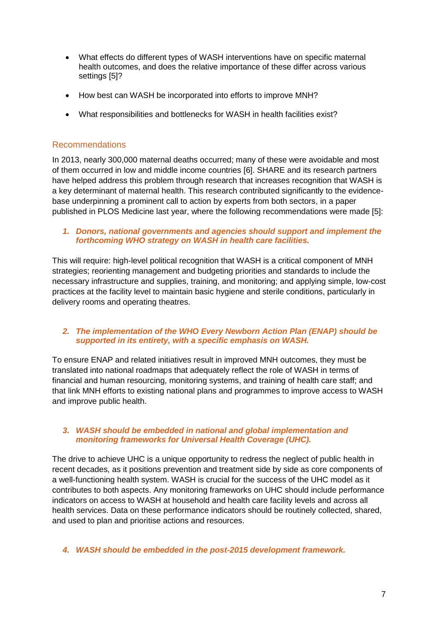- What effects do different types of WASH interventions have on specific maternal health outcomes, and does the relative importance of these differ across various settings [\[5\]](#page-8-3)?
- How best can WASH be incorporated into efforts to improve MNH?
- What responsibilities and bottlenecks for WASH in health facilities exist?

#### Recommendations

In 2013, nearly 300,000 maternal deaths occurred; many of these were avoidable and most of them occurred in low and middle income countries [\[6\]](#page-8-4). SHARE and its research partners have helped address this problem through research that increases recognition that WASH is a key determinant of maternal health. This research contributed significantly to the evidencebase underpinning a prominent call to action by experts from both sectors, in a paper published in PLOS Medicine last year, where the following recommendations were made [\[5\]](#page-8-3):

#### *1. Donors, national governments and agencies should support and implement the forthcoming WHO strategy on WASH in health care facilities.*

This will require: high-level political recognition that WASH is a critical component of MNH strategies; reorienting management and budgeting priorities and standards to include the necessary infrastructure and supplies, training, and monitoring; and applying simple, low-cost practices at the facility level to maintain basic hygiene and sterile conditions, particularly in delivery rooms and operating theatres.

#### *2. The implementation of the WHO Every Newborn Action Plan (ENAP) should be supported in its entirety, with a specific emphasis on WASH.*

To ensure ENAP and related initiatives result in improved MNH outcomes, they must be translated into national roadmaps that adequately reflect the role of WASH in terms of financial and human resourcing, monitoring systems, and training of health care staff; and that link MNH efforts to existing national plans and programmes to improve access to WASH and improve public health.

#### *3. WASH should be embedded in national and global implementation and monitoring frameworks for Universal Health Coverage (UHC).*

The drive to achieve UHC is a unique opportunity to redress the neglect of public health in recent decades, as it positions prevention and treatment side by side as core components of a well-functioning health system. WASH is crucial for the success of the UHC model as it contributes to both aspects. Any monitoring frameworks on UHC should include performance indicators on access to WASH at household and health care facility levels and across all health services. Data on these performance indicators should be routinely collected, shared, and used to plan and prioritise actions and resources.

#### *4. WASH should be embedded in the post-2015 development framework.*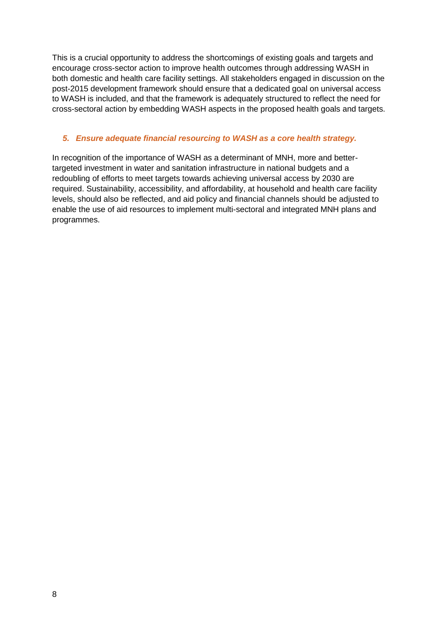This is a crucial opportunity to address the shortcomings of existing goals and targets and encourage cross-sector action to improve health outcomes through addressing WASH in both domestic and health care facility settings. All stakeholders engaged in discussion on the post-2015 development framework should ensure that a dedicated goal on universal access to WASH is included, and that the framework is adequately structured to reflect the need for cross-sectoral action by embedding WASH aspects in the proposed health goals and targets.

#### *5. Ensure adequate financial resourcing to WASH as a core health strategy.*

In recognition of the importance of WASH as a determinant of MNH, more and bettertargeted investment in water and sanitation infrastructure in national budgets and a redoubling of efforts to meet targets towards achieving universal access by 2030 are required. Sustainability, accessibility, and affordability, at household and health care facility levels, should also be reflected, and aid policy and financial channels should be adjusted to enable the use of aid resources to implement multi-sectoral and integrated MNH plans and programmes.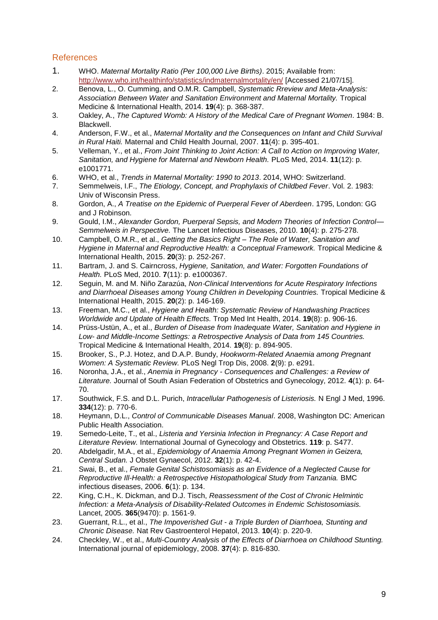#### **References**

- <span id="page-8-9"></span>1. WHO. *Maternal Mortality Ratio (Per 100,000 Live Births)*. 2015; Available from: <http://www.who.int/healthinfo/statistics/indmaternalmortality/en/> [Accessed 21/07/15].
- <span id="page-8-0"></span>2. Benova, L., O. Cumming, and O.M.R. Campbell, *Systematic Rreview and Meta-Analysis: Association Between Water and Sanitation Environment and Maternal Mortality.* Tropical Medicine & International Health, 2014. **19**(4): p. 368-387.
- <span id="page-8-1"></span>3. Oakley, A., *The Captured Womb: A History of the Medical Care of Pregnant Women*. 1984: B. Blackwell.
- <span id="page-8-2"></span>4. Anderson, F.W., et al., *Maternal Mortality and the Consequences on Infant and Child Survival in Rural Haiti.* Maternal and Child Health Journal, 2007. **11**(4): p. 395-401.
- <span id="page-8-3"></span>5. Velleman, Y., et al., *From Joint Thinking to Joint Action: A Call to Action on Improving Water, Sanitation, and Hygiene for Maternal and Newborn Health.* PLoS Med, 2014. **11**(12): p. e1001771.
- <span id="page-8-4"></span>6. WHO, et al., *Trends in Maternal Mortality: 1990 to 2013*. 2014, WHO: Switzerland.
- <span id="page-8-5"></span>7. Semmelweis, I.F., *The Etiology, Concept, and Prophylaxis of Childbed Fever*. Vol. 2. 1983: Univ of Wisconsin Press.
- 8. Gordon, A., *A Treatise on the Epidemic of Puerperal Fever of Aberdeen*. 1795, London: GG and J Robinson.
- <span id="page-8-8"></span>9. Gould, I.M., *Alexander Gordon, Puerperal Sepsis, and Modern Theories of Infection Control— Semmelweis in Perspective.* The Lancet Infectious Diseases, 2010. **10**(4): p. 275-278.
- <span id="page-8-6"></span>10. Campbell, O.M.R., et al., *Getting the Basics Right – The Role of Water, Sanitation and Hygiene in Maternal and Reproductive Health: a Conceptual Framework.* Tropical Medicine & International Health, 2015. **20**(3): p. 252-267.
- <span id="page-8-7"></span>11. Bartram, J. and S. Cairncross, *Hygiene, Sanitation, and Water: Forgotten Foundations of Health.* PLoS Med, 2010. **7**(11): p. e1000367.
- 12. Seguin, M. and M. Niño Zarazúa, *Non*‐*Clinical Interventions for Acute Respiratory Infections and Diarrhoeal Diseases among Young Children in Developing Countries.* Tropical Medicine & International Health, 2015. **20**(2): p. 146-169.
- 13. Freeman, M.C., et al., *Hygiene and Health: Systematic Review of Handwashing Practices Worldwide and Update of Health Effects.* Trop Med Int Health, 2014. **19**(8): p. 906-16.
- 14. Prüss-Ustün, A., et al., *Burden of Disease from Inadequate Water, Sanitation and Hygiene in Low- and Middle-Income Settings: a Retrospective Analysis of Data from 145 Countries.* Tropical Medicine & International Health, 2014. **19**(8): p. 894-905.
- <span id="page-8-10"></span>15. Brooker, S., P.J. Hotez, and D.A.P. Bundy, *Hookworm-Related Anaemia among Pregnant Women: A Systematic Review.* PLoS Negl Trop Dis, 2008. **2**(9): p. e291.
- <span id="page-8-11"></span>16. Noronha, J.A., et al., *Anemia in Pregnancy - Consequences and Challenges: a Review of Literature.* Journal of South Asian Federation of Obstetrics and Gynecology, 2012. **4**(1): p. 64- 70.
- <span id="page-8-12"></span>17. Southwick, F.S. and D.L. Purich, *Intracellular Pathogenesis of Listeriosis.* N Engl J Med, 1996. **334**(12): p. 770-6.
- <span id="page-8-13"></span>18. Heymann, D.L., *Control of Communicable Diseases Manual*. 2008, Washington DC: American Public Health Association.
- <span id="page-8-14"></span>19. Semedo-Leite, T., et al., *Listeria and Yersinia Infection in Pregnancy: A Case Report and Literature Review.* International Journal of Gynecology and Obstetrics. **119**: p. S477.
- <span id="page-8-15"></span>20. Abdelgadir, M.A., et al., *Epidemiology of Anaemia Among Pregnant Women in Geizera, Central Sudan.* J Obstet Gynaecol, 2012. **32**(1): p. 42-4.
- 21. Swai, B., et al., *Female Genital Schistosomiasis as an Evidence of a Neglected Cause for Reproductive Ill-Health: a Retrospective Histopathological Study from Tanzania.* BMC infectious diseases, 2006. **6**(1): p. 134.
- 22. King, C.H., K. Dickman, and D.J. Tisch, *Reassessment of the Cost of Chronic Helmintic Infection: a Meta-Analysis of Disability-Related Outcomes in Endemic Schistosomiasis.* Lancet, 2005. **365**(9470): p. 1561-9.
- <span id="page-8-16"></span>23. Guerrant, R.L., et al., *The Impoverished Gut - a Triple Burden of Diarrhoea, Stunting and Chronic Disease.* Nat Rev Gastroenterol Hepatol, 2013. **10**(4): p. 220-9.
- <span id="page-8-17"></span>24. Checkley, W., et al., *Multi-Country Analysis of the Effects of Diarrhoea on Childhood Stunting.* International journal of epidemiology, 2008. **37**(4): p. 816-830.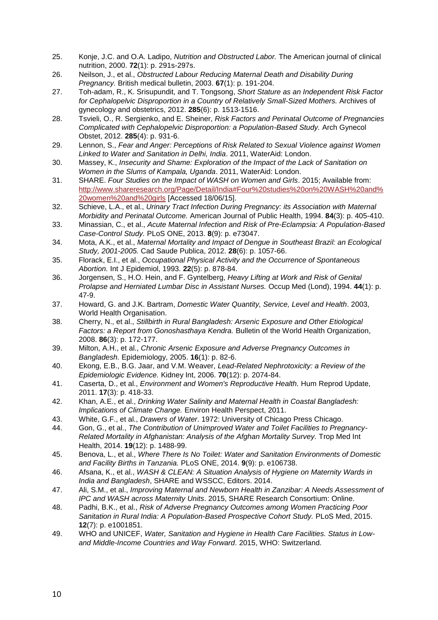- <span id="page-9-0"></span>25. Konje, J.C. and O.A. Ladipo, *Nutrition and Obstructed Labor.* The American journal of clinical nutrition, 2000. **72**(1): p. 291s-297s.
- 26. Neilson, J., et al., *Obstructed Labour Reducing Maternal Death and Disability During Pregnancy.* British medical bulletin, 2003. **67**(1): p. 191-204.
- 27. Toh-adam, R., K. Srisupundit, and T. Tongsong, *Short Stature as an Independent Risk Factor for Cephalopelvic Disproportion in a Country of Relatively Small-Sized Mothers.* Archives of gynecology and obstetrics, 2012. **285**(6): p. 1513-1516.
- 28. Tsvieli, O., R. Sergienko, and E. Sheiner, *Risk Factors and Perinatal Outcome of Pregnancies Complicated with Cephalopelvic Disproportion: a Population-Based Study.* Arch Gynecol Obstet, 2012. **285**(4): p. 931-6.
- <span id="page-9-1"></span>29. Lennon, S., *Fear and Anger: Perceptions of Risk Related to Sexual Violence against Women Linked to Water and Sanitation in Delhi, India*. 2011, WaterAid: London.
- 30. Massey, K., *Insecurity and Shame: Exploration of the Impact of the Lack of Sanitation on Women in the Slums of Kampala, Uganda*. 2011, WaterAid: London.
- 31. SHARE. *Four Studies on the Impact of WASH on Women and Girls*. 2015; Available from: [http://www.shareresearch.org/Page/Detail/India#Four%20studies%20on%20WASH%20and%](http://www.shareresearch.org/Page/Detail/India#Four%20studies%20on%20WASH%20and%20women%20and%20girls) [20women%20and%20girls](http://www.shareresearch.org/Page/Detail/India#Four%20studies%20on%20WASH%20and%20women%20and%20girls) [Accessed 18/06/15].
- <span id="page-9-6"></span>32. Schieve, L.A., et al., *Urinary Tract Infection During Pregnancy: its Association with Maternal Morbidity and Perinatal Outcome.* American Journal of Public Health, 1994. **84**(3): p. 405-410.
- <span id="page-9-7"></span>33. Minassian, C., et al., *Acute Maternal Infection and Risk of Pre-Eclampsia: A Population-Based Case-Control Study.* PLoS ONE, 2013. **8**(9): p. e73047.
- <span id="page-9-2"></span>34. Mota, A.K., et al., *Maternal Mortality and Impact of Dengue in Southeast Brazil: an Ecological Study, 2001-2005.* Cad Saude Publica, 2012. **28**(6): p. 1057-66.
- <span id="page-9-3"></span>35. Florack, E.I., et al., *Occupational Physical Activity and the Occurrence of Spontaneous Abortion.* Int J Epidemiol, 1993. **22**(5): p. 878-84.
- <span id="page-9-4"></span>36. Jorgensen, S., H.O. Hein, and F. Gyntelberg, *Heavy Lifting at Work and Risk of Genital Prolapse and Herniated Lumbar Disc in Assistant Nurses.* Occup Med (Lond), 1994. **44**(1): p. 47-9.
- <span id="page-9-5"></span>37. Howard, G. and J.K. Bartram, *Domestic Water Quantity, Service, Level and Health*. 2003, World Health Organisation.
- <span id="page-9-8"></span>38. Cherry, N., et al., *Stillbirth in Rural Bangladesh: Arsenic Exposure and Other Etiological Factors: a Report from Gonoshasthaya Kendra.* Bulletin of the World Health Organization, 2008. **86**(3): p. 172-177.
- <span id="page-9-9"></span>39. Milton, A.H., et al., *Chronic Arsenic Exposure and Adverse Pregnancy Outcomes in Bangladesh.* Epidemiology, 2005. **16**(1): p. 82-6.
- <span id="page-9-10"></span>40. Ekong, E.B., B.G. Jaar, and V.M. Weaver, *Lead-Related Nephrotoxicity: a Review of the Epidemiologic Evidence.* Kidney Int, 2006. **70**(12): p. 2074-84.
- <span id="page-9-11"></span>41. Caserta, D., et al., *Environment and Women's Reproductive Health.* Hum Reprod Update, 2011. **17**(3): p. 418-33.
- <span id="page-9-12"></span>42. Khan, A.E., et al., *Drinking Water Salinity and Maternal Health in Coastal Bangladesh: Implications of Climate Change.* Environ Health Perspect, 2011.
- <span id="page-9-13"></span>43. White, G.F., et al., *Drawers of Water*. 1972: University of Chicago Press Chicago.
- <span id="page-9-14"></span>44. Gon, G., et al., *The Contribution of Unimproved Water and Toilet Facilities to Pregnancy-Related Mortality in Afghanistan: Analysis of the Afghan Mortality Survey.* Trop Med Int Health, 2014. **19**(12): p. 1488-99.
- <span id="page-9-15"></span>45. Benova, L., et al., *Where There Is No Toilet: Water and Sanitation Environments of Domestic and Facility Births in Tanzania.* PLoS ONE, 2014. **9**(9): p. e106738.
- <span id="page-9-16"></span>46. Afsana, K., et al., *WASH & CLEAN: A Situation Analysis of Hygiene on Maternity Wards in India and Bangladesh*, SHARE and WSSCC, Editors. 2014.
- <span id="page-9-17"></span>47. Ali, S.M., et al., *Improving Maternal and Newborn Health in Zanzibar: A Needs Assessment of IPC and WASH across Maternity Units*. 2015, SHARE Research Consortium: Online.
- <span id="page-9-18"></span>48. Padhi, B.K., et al., *Risk of Adverse Pregnancy Outcomes among Women Practicing Poor Sanitation in Rural India: A Population-Based Prospective Cohort Study.* PLoS Med, 2015. **12**(7): p. e1001851.
- 49. WHO and UNICEF, *Water, Sanitation and Hygiene in Health Care Facilities. Status in Lowand Middle-Income Countries and Way Forward*. 2015, WHO: Switzerland.